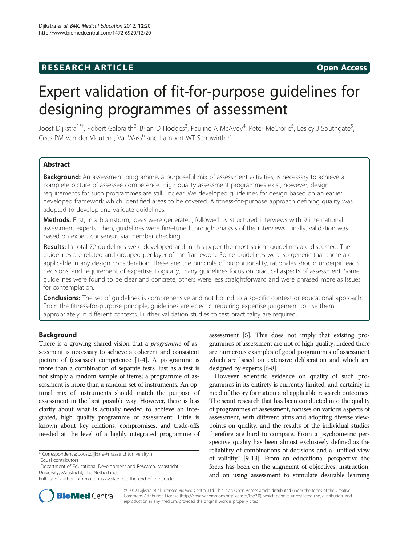# **RESEARCH ARTICLE Example 2014 The SEARCH ARTICLE**

# Expert validation of fit-for-purpose guidelines for designing programmes of assessment

Joost Dijkstra<sup>1\*†</sup>, Robert Galbraith<sup>2</sup>, Brian D Hodges<sup>3</sup>, Pauline A McAvoy<sup>4</sup>, Peter McCrorie<sup>5</sup>, Lesley J Southgate<sup>5</sup> , Cees PM Van der Vleuten<sup>1</sup>, Val Wass<sup>6</sup> and Lambert WT Schuwirth<sup>1,7</sup>

# Abstract

Background: An assessment programme, a purposeful mix of assessment activities, is necessary to achieve a complete picture of assessee competence. High quality assessment programmes exist, however, design requirements for such programmes are still unclear. We developed guidelines for design based on an earlier developed framework which identified areas to be covered. A fitness-for-purpose approach defining quality was adopted to develop and validate guidelines.

Methods: First, in a brainstorm, ideas were generated, followed by structured interviews with 9 international assessment experts. Then, guidelines were fine-tuned through analysis of the interviews. Finally, validation was based on expert consensus via member checking.

Results: In total 72 quidelines were developed and in this paper the most salient quidelines are discussed. The guidelines are related and grouped per layer of the framework. Some guidelines were so generic that these are applicable in any design consideration. These are: the principle of proportionality, rationales should underpin each decisions, and requirement of expertise. Logically, many guidelines focus on practical aspects of assessment. Some guidelines were found to be clear and concrete, others were less straightforward and were phrased more as issues for contemplation.

**Conclusions:** The set of quidelines is comprehensive and not bound to a specific context or educational approach. From the fitness-for-purpose principle, guidelines are eclectic, requiring expertise judgement to use them appropriately in different contexts. Further validation studies to test practicality are required.

#### Background

There is a growing shared vision that a *programme* of assessment is necessary to achieve a coherent and consistent picture of (assessee) competence [\[1-4\]](#page-7-0). A programme is more than a combination of separate tests. Just as a test is not simply a random sample of items; a programme of assessment is more than a random set of instruments. An optimal mix of instruments should match the purpose of assessment in the best possible way. However, there is less clarity about what is actually needed to achieve an integrated, high quality programme of assessment. Little is known about key relations, compromises, and trade-offs needed at the level of a highly integrated programme of



However, scientific evidence on quality of such programmes in its entirety is currently limited, and certainly in need of theory formation and applicable research outcomes. The scant research that has been conducted into the quality of programmes of assessment, focuses on various aspects of assessment, with different aims and adopting diverse viewpoints on quality, and the results of the individual studies therefore are hard to compare. From a psychometric perspective quality has been almost exclusively defined as the reliability of combinations of decisions and a "unified view of validity" [[9](#page-7-0)-[13](#page-7-0)]. From an educational perspective the focus has been on the alignment of objectives, instruction, and on using assessment to stimulate desirable learning



© 2012 Dijkstra et al; licensee BioMed Central Ltd. This is an Open Access article distributed under the terms of the Creative Commons Attribution License (http://creativecommons.org/licenses/by/2.0), which permits unrestricted use, distribution, and reproduction in any medium, provided the original work is properly cited.

<sup>\*</sup> Correspondence: [Joost.dijkstra@maastrichtuniversity.nl](mailto:Joost.dijkstra@maastrichtuniversity.nl) †

Equal contributors

<sup>&</sup>lt;sup>1</sup> Department of Educational Development and Research, Maastricht University, Maastricht, The Netherlands

Full list of author information is available at the end of the article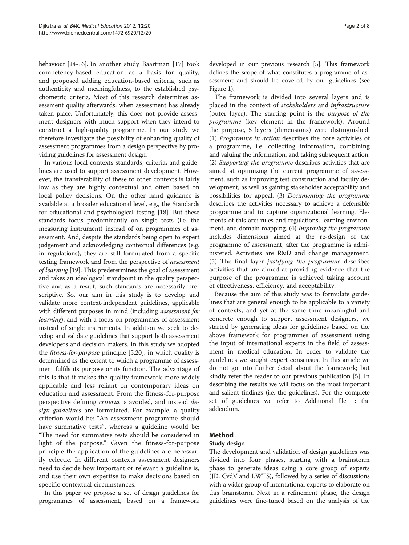behaviour [\[14-16](#page-7-0)]. In another study Baartman [[17\]](#page-7-0) took competency-based education as a basis for quality, and proposed adding education-based criteria, such as authenticity and meaningfulness, to the established psychometric criteria. Most of this research determines assessment quality afterwards, when assessment has already taken place. Unfortunately, this does not provide assessment designers with much support when they intend to construct a high-quality programme. In our study we therefore investigate the possibility of enhancing quality of assessment programmes from a design perspective by providing guidelines for assessment design.

In various local contexts standards, criteria, and guidelines are used to support assessment development. However, the transferability of these to other contexts is fairly low as they are highly contextual and often based on local policy decisions. On the other hand guidance is available at a broader educational level, e.g., the Standards for educational and psychological testing [[18](#page-7-0)]. But these standards focus predominantly on single tests (i.e. the measuring instrument) instead of on programmes of assessment. And, despite the standards being open to expert judgement and acknowledging contextual differences (e.g. in regulations), they are still formulated from a specific testing framework and from the perspective of assessment of learning [\[19](#page-7-0)]. This predetermines the goal of assessment and takes an ideological standpoint in the quality perspective and as a result, such standards are necessarily prescriptive. So, our aim in this study is to develop and validate more context-independent guidelines, applicable with different purposes in mind (including *assessment for learning*), and with a focus on programmes of assessment instead of single instruments. In addition we seek to develop and validate guidelines that support both assessment developers and decision makers. In this study we adopted the fitness-for-purpose principle [\[5,20\]](#page-7-0), in which quality is determined as the extent to which a programme of assessment fulfils its purpose or its function. The advantage of this is that it makes the quality framework more widely applicable and less reliant on contemporary ideas on education and assessment. From the fitness-for-purpose perspective defining criteria is avoided, and instead design guidelines are formulated. For example, a quality criterion would be: "An assessment programme should have summative tests", whereas a guideline would be: "The need for summative tests should be considered in light of the purpose." Given the fitness-for-purpose principle the application of the guidelines are necessarily eclectic. In different contexts assessment designers need to decide how important or relevant a guideline is, and use their own expertise to make decisions based on specific contextual circumstances.

In this paper we propose a set of design guidelines for programmes of assessment, based on a framework developed in our previous research [\[5\]](#page-7-0). This framework defines the scope of what constitutes a programme of assessment and should be covered by our guidelines (see Figure [1\)](#page-2-0).

The framework is divided into several layers and is placed in the context of stakeholders and infrastructure (outer layer). The starting point is the purpose of the programme (key element in the framework). Around the purpose, 5 layers (dimensions) were distinguished. (1) Programme in action describes the core activities of a programme, i.e. collecting information, combining and valuing the information, and taking subsequent action. (2) Supporting the programme describes activities that are aimed at optimizing the current programme of assessment, such as improving test construction and faculty development, as well as gaining stakeholder acceptability and possibilities for appeal. (3) Documenting the programme describes the activities necessary to achieve a defensible programme and to capture organizational learning. Elements of this are: rules and regulations, learning environment, and domain mapping. (4) Improving the programme includes dimensions aimed at the re-design of the programme of assessment, after the programme is administered. Activities are R&D and change management. (5) The final layer justifying the programme describes activities that are aimed at providing evidence that the purpose of the programme is achieved taking account of effectiveness, efficiency, and acceptability.

Because the aim of this study was to formulate guidelines that are general enough to be applicable to a variety of contexts, and yet at the same time meaningful and concrete enough to support assessment designers, we started by generating ideas for guidelines based on the above framework for programmes of assessment using the input of international experts in the field of assessment in medical education. In order to validate the guidelines we sought expert consensus. In this article we do not go into further detail about the framework; but kindly refer the reader to our previous publication [[5\]](#page-7-0). In describing the results we will focus on the most important and salient findings (i.e. the guidelines). For the complete set of guidelines we refer to [Additional file 1:](#page-7-0) the addendum.

#### Method

#### Study design

The development and validation of design guidelines was divided into four phases, starting with a brainstorm phase to generate ideas using a core group of experts (JD, CvdV and LWTS), followed by a series of discussions with a wider group of international experts to elaborate on this brainstorm. Next in a refinement phase, the design guidelines were fine-tuned based on the analysis of the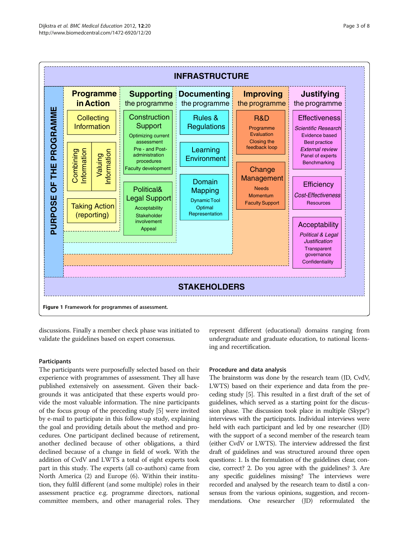<span id="page-2-0"></span>

discussions. Finally a member check phase was initiated to validate the guidelines based on expert consensus.

#### **Participants**

The participants were purposefully selected based on their experience with programmes of assessment. They all have published extensively on assessment. Given their backgrounds it was anticipated that these experts would provide the most valuable information. The nine participants of the focus group of the preceding study [\[5](#page-7-0)] were invited by e-mail to participate in this follow-up study, explaining the goal and providing details about the method and procedures. One participant declined because of retirement, another declined because of other obligations, a third declined because of a change in field of work. With the addition of CvdV and LWTS a total of eight experts took part in this study. The experts (all co-authors) came from North America (2) and Europe (6). Within their institution, they fulfil different (and some multiple) roles in their assessment practice e.g. programme directors, national committee members, and other managerial roles. They

represent different (educational) domains ranging from undergraduate and graduate education, to national licensing and recertification.

#### Procedure and data analysis

The brainstorm was done by the research team (JD, CvdV, LWTS) based on their experience and data from the preceding study [\[5\]](#page-7-0). This resulted in a first draft of the set of guidelines, which served as a starting point for the discussion phase. The discussion took place in multiple (Skype®) interviews with the participants. Individual interviews were held with each participant and led by one researcher (JD) with the support of a second member of the research team (either CvdV or LWTS). The interview addressed the first draft of guidelines and was structured around three open questions: 1. Is the formulation of the guidelines clear, concise, correct? 2. Do you agree with the guidelines? 3. Are any specific guidelines missing? The interviews were recorded and analysed by the research team to distil a consensus from the various opinions, suggestion, and recommendations. One researcher (JD) reformulated the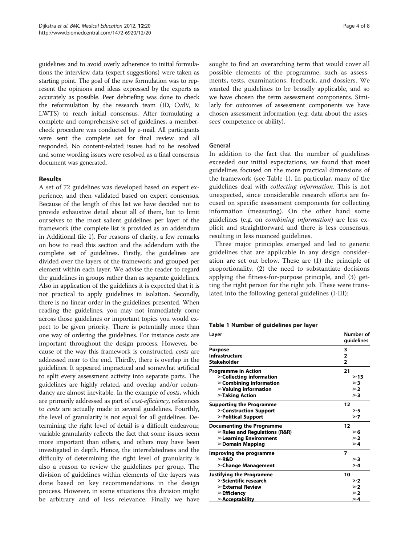guidelines and to avoid overly adherence to initial formulations the interview data (expert suggestions) were taken as starting point. The goal of the new formulation was to represent the opinions and ideas expressed by the experts as accurately as possible. Peer debriefing was done to check the reformulation by the research team (JD, CvdV, & LWTS) to reach initial consensus. After formulating a complete and comprehensive set of guidelines, a membercheck procedure was conducted by e-mail. All participants were sent the complete set for final review and all responded. No content-related issues had to be resolved and some wording issues were resolved as a final consensus document was generated.

#### Results

A set of 72 guidelines was developed based on expert experience, and then validated based on expert consensus. Because of the length of this list we have decided not to provide exhaustive detail about all of them, but to limit ourselves to the most salient guidelines per layer of the framework (the complete list is provided as an addendum in [Additional file 1](#page-7-0)). For reasons of clarity, a few remarks on how to read this section and the addendum with the complete set of guidelines. Firstly, the guidelines are divided over the layers of the framework and grouped per element within each layer. We advise the reader to regard the guidelines in groups rather than as separate guidelines. Also in application of the guidelines it is expected that it is not practical to apply guidelines in isolation. Secondly, there is no linear order in the guidelines presented. When reading the guidelines, you may not immediately come across those guidelines or important topics you would expect to be given priority. There is potentially more than one way of ordering the guidelines. For instance costs are important throughout the design process. However, because of the way this framework is constructed, costs are addressed near to the end. Thirdly, there is overlap in the guidelines. It appeared impractical and somewhat artificial to split every assessment activity into separate parts. The guidelines are highly related, and overlap and/or redundancy are almost inevitable. In the example of costs, which are primarily addressed as part of cost-efficiency, references to costs are actually made in several guidelines. Fourthly, the level of granularity is not equal for all guidelines. Determining the right level of detail is a difficult endeavour, variable granularity reflects the fact that some issues seem more important than others, and others may have been investigated in depth. Hence, the interrelatedness and the difficulty of determining the right level of granularity is also a reason to review the guidelines per group. The division of guidelines within elements of the layers was done based on key recommendations in the design process. However, in some situations this division might be arbitrary and of less relevance. Finally we have

sought to find an overarching term that would cover all possible elements of the programme, such as assessments, tests, examinations, feedback, and dossiers. We wanted the guidelines to be broadly applicable, and so we have chosen the term assessment components. Similarly for outcomes of assessment components we have chosen assessment information (e.g. data about the assessees' competence or ability).

#### General

In addition to the fact that the number of guidelines exceeded our initial expectations, we found that most guidelines focused on the more practical dimensions of the framework (see Table 1). In particular, many of the guidelines deal with collecting information. This is not unexpected, since considerable research efforts are focused on specific assessment components for collecting information (measuring). On the other hand some guidelines (e.g. on combining information) are less explicit and straightforward and there is less consensus, resulting in less nuanced guidelines.

Three major principles emerged and led to generic guidelines that are applicable in any design consideration are set out below. These are (1) the principle of proportionality, (2) the need to substantiate decisions applying the fitness-for-purpose principle, and (3) getting the right person for the right job. These were translated into the following general guidelines (I-III):

|  |  |  | Table 1 Number of guidelines per layer |  |  |
|--|--|--|----------------------------------------|--|--|
|--|--|--|----------------------------------------|--|--|

| Layer                             | Number of<br>quidelines |  |
|-----------------------------------|-------------------------|--|
| Purpose                           | з                       |  |
| Infrastructure                    | 2                       |  |
| <b>Stakeholder</b>                | $\overline{\mathbf{2}}$ |  |
| <b>Programme in Action</b>        | 21                      |  |
| $\geq$ Collecting information     | ≻13                     |  |
| $\geq$ Combining information      | ≫3                      |  |
| $\gg$ Valuing information         | $\geqslant$             |  |
| $\ge$ Taking Action               | ≫3                      |  |
| <b>Supporting the Programme</b>   | 12                      |  |
| <b>≻Construction Support</b>      | ≫5                      |  |
| ≻Political Support                | ≫7                      |  |
| <b>Documenting the Programme</b>  | 12                      |  |
| $\gg$ Rules and Regulations (R&R) | ≫6                      |  |
| $\geq$ Learning Environment       | $\geqslant$             |  |
| ≫Domain Mapping                   | ≫4                      |  |
| <b>Improving the programme</b>    | 7                       |  |
| ≻R&D                              | ≫3                      |  |
| ≫Change Management                | ≫4                      |  |
| <b>Justifying the Programme</b>   | 10                      |  |
| $\geq$ Scientific research        | ≫2                      |  |
| $\ge$ External Review             | $\geqslant$             |  |
| $\geq$ Efficiency                 | $\geqslant$ 2           |  |
| $\geq$ Acceptability              | ≫4                      |  |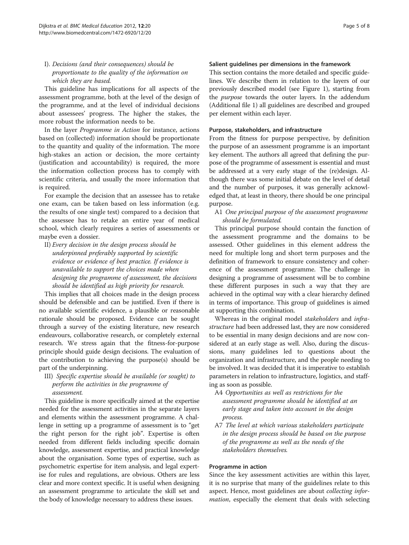# I). Decisions (and their consequences) should be proportionate to the quality of the information on which they are based.

This guideline has implications for all aspects of the assessment programme, both at the level of the design of the programme, and at the level of individual decisions about assessees' progress. The higher the stakes, the more robust the information needs to be.

In the layer Programme in Action for instance, actions based on (collected) information should be proportionate to the quantity and quality of the information. The more high-stakes an action or decision, the more certainty (justification and accountability) is required, the more the information collection process has to comply with scientific criteria, and usually the more information that is required.

For example the decision that an assessee has to retake one exam, can be taken based on less information (e.g. the results of one single test) compared to a decision that the assessee has to retake an entire year of medical school, which clearly requires a series of assessments or maybe even a dossier.

II) Every decision in the design process should be underpinned preferably supported by scientific evidence or evidence of best practice. If evidence is unavailable to support the choices made when designing the programme of assessment, the decisions should be identified as high priority for research.

This implies that all choices made in the design process should be defensible and can be justified. Even if there is no available scientific evidence, a plausible or reasonable rationale should be proposed. Evidence can be sought through a survey of the existing literature, new research endeavours, collaborative research, or completely external research. We stress again that the fitness-for-purpose principle should guide design decisions. The evaluation of the contribution to achieving the purpose(s) should be part of the underpinning.

III) Specific expertise should be available (or sought) to perform the activities in the programme of assessment.

This guideline is more specifically aimed at the expertise needed for the assessment activities in the separate layers and elements within the assessment programme. A challenge in setting up a programme of assessment is to "get the right person for the right job". Expertise is often needed from different fields including specific domain knowledge, assessment expertise, and practical knowledge about the organisation. Some types of expertise, such as psychometric expertise for item analysis, and legal expertise for rules and regulations, are obvious. Others are less clear and more context specific. It is useful when designing an assessment programme to articulate the skill set and the body of knowledge necessary to address these issues.

#### Salient guidelines per dimensions in the framework

This section contains the more detailed and specific guidelines. We describe them in relation to the layers of our previously described model (see Figure [1](#page-2-0)), starting from the *purpose* towards the outer layers. In the addendum ([Additional file 1](#page-7-0)) all guidelines are described and grouped per element within each layer.

#### Purpose, stakeholders, and infrastructure

From the fitness for purpose perspective, by definition the purpose of an assessment programme is an important key element. The authors all agreed that defining the purpose of the programme of assessment is essential and must be addressed at a very early stage of the (re)design. Although there was some initial debate on the level of detail and the number of purposes, it was generally acknowledged that, at least in theory, there should be one principal purpose.

### A1 One principal purpose of the assessment programme should be formulated.

This principal purpose should contain the function of the assessment programme and the domains to be assessed. Other guidelines in this element address the need for multiple long and short term purposes and the definition of framework to ensure consistency and coherence of the assessment programme. The challenge in designing a programme of assessment will be to combine these different purposes in such a way that they are achieved in the optimal way with a clear hierarchy defined in terms of importance. This group of guidelines is aimed at supporting this combination.

Whereas in the original model stakeholders and infrastructure had been addressed last, they are now considered to be essential in many design decisions and are now considered at an early stage as well. Also, during the discussions, many guidelines led to questions about the organization and infrastructure, and the people needing to be involved. It was decided that it is imperative to establish parameters in relation to infrastructure, logistics, and staffing as soon as possible.

- A4 Opportunities as well as restrictions for the assessment programme should be identified at an early stage and taken into account in the design process.
- A7 The level at which various stakeholders participate in the design process should be based on the purpose of the programme as well as the needs of the stakeholders themselves.

#### Programme in action

Since the key assessment activities are within this layer, it is no surprise that many of the guidelines relate to this aspect. Hence, most guidelines are about collecting information, especially the element that deals with selecting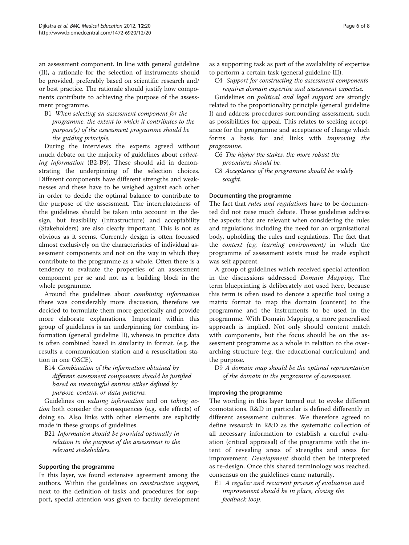an assessment component. In line with general guideline (II), a rationale for the selection of instruments should be provided, preferably based on scientific research and/ or best practice. The rationale should justify how components contribute to achieving the purpose of the assessment programme.

B1 When selecting an assessment component for the programme, the extent to which it contributes to the purpose(s) of the assessment programme should be the guiding principle.

During the interviews the experts agreed without much debate on the majority of guidelines about collecting information (B2-B9). These should aid in demonstrating the underpinning of the selection choices. Different components have different strengths and weaknesses and these have to be weighed against each other in order to decide the optimal balance to contribute to the purpose of the assessment. The interrelatedness of the guidelines should be taken into account in the design, but feasibility (Infrastructure) and acceptability (Stakeholders) are also clearly important. This is not as obvious as it seems. Currently design is often focussed almost exclusively on the characteristics of individual assessment components and not on the way in which they contribute to the programme as a whole. Often there is a tendency to evaluate the properties of an assessment component per se and not as a building block in the whole programme.

Around the guidelines about combining information there was considerably more discussion, therefore we decided to formulate them more generically and provide more elaborate explanations. Important within this group of guidelines is an underpinning for combing information (general guideline II), whereas in practice data is often combined based in similarity in format. (e.g. the results a communication station and a resuscitation station in one OSCE).

B14 Combination of the information obtained by different assessment components should be justified based on meaningful entities either defined by purpose, content, or data patterns.

Guidelines on valuing information and on taking action both consider the consequences (e.g. side effects) of doing so. Also links with other elements are explicitly made in these groups of guidelines.

B21 Information should be provided optimally in relation to the purpose of the assessment to the relevant stakeholders.

#### Supporting the programme

In this layer, we found extensive agreement among the authors. Within the guidelines on construction support, next to the definition of tasks and procedures for support, special attention was given to faculty development as a supporting task as part of the availability of expertise to perform a certain task (general guideline III).

C4 Support for constructing the assessment components

requires domain expertise and assessment expertise. Guidelines on political and legal support are strongly related to the proportionality principle (general guideline I) and address procedures surrounding assessment, such as possibilities for appeal. This relates to seeking acceptance for the programme and acceptance of change which forms a basis for and links with improving the programme.

- C6 The higher the stakes, the more robust the procedures should be. C8 Acceptance of the programme should be widely
- sought.

#### Documenting the programme

The fact that rules and regulations have to be documented did not raise much debate. These guidelines address the aspects that are relevant when considering the rules and regulations including the need for an organisational body, upholding the rules and regulations. The fact that the context (e.g. learning environment) in which the programme of assessment exists must be made explicit was self apparent.

A group of guidelines which received special attention in the discussions addressed Domain Mapping. The term blueprinting is deliberately not used here, because this term is often used to denote a specific tool using a matrix format to map the domain (content) to the programme and the instruments to be used in the programme. With Domain Mapping, a more generalised approach is implied. Not only should content match with components, but the focus should be on the assessment programme as a whole in relation to the overarching structure (e.g. the educational curriculum) and the purpose.

D9 A domain map should be the optimal representation of the domain in the programme of assessment.

#### Improving the programme

The wording in this layer turned out to evoke different connotations. R&D in particular is defined differently in different assessment cultures. We therefore agreed to define research in R&D as the systematic collection of all necessary information to establish a careful evaluation (critical appraisal) of the programme with the intent of revealing areas of strengths and areas for improvement. Development should then be interpreted as re-design. Once this shared terminology was reached, consensus on the guidelines came naturally.

E1 A regular and recurrent process of evaluation and improvement should be in place, closing the feedback loop.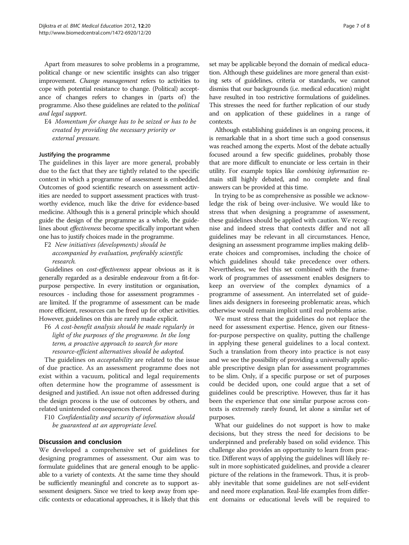Apart from measures to solve problems in a programme, political change or new scientific insights can also trigger improvement. Change management refers to activities to cope with potential resistance to change. (Political) acceptance of changes refers to changes in (parts of) the programme. Also these guidelines are related to the political and legal support.

E4 Momentum for change has to be seized or has to be created by providing the necessary priority or external pressure.

#### Justifying the programme

The guidelines in this layer are more general, probably due to the fact that they are tightly related to the specific context in which a programme of assessment is embedded. Outcomes of good scientific research on assessment activities are needed to support assessment practices with trustworthy evidence, much like the drive for evidence-based medicine. Although this is a general principle which should guide the design of the programme as a whole, the guidelines about effectiveness become specifically important when one has to justify choices made in the programme.

F2 New initiatives (developments) should be accompanied by evaluation, preferably scientific research.

Guidelines on cost-effectiveness appear obvious as it is generally regarded as a desirable endeavour from a fit-forpurpose perspective. In every institution or organisation, resources - including those for assessment programmes are limited. If the programme of assessment can be made more efficient, resources can be freed up for other activities. However, guidelines on this are rarely made explicit.

F6 A cost-benefit analysis should be made regularly in light of the purposes of the programme. In the long term, a proactive approach to search for more resource-efficient alternatives should be adopted.

The guidelines on *acceptability* are related to the issue of due practice. As an assessment programme does not exist within a vacuum, political and legal requirements often determine how the programme of assessment is designed and justified. An issue not often addressed during the design process is the use of outcomes by others, and related unintended consequences thereof.

F10 Confidentiality and security of information should be guaranteed at an appropriate level.

#### Discussion and conclusion

We developed a comprehensive set of guidelines for designing programmes of assessment. Our aim was to formulate guidelines that are general enough to be applicable to a variety of contexts. At the same time they should be sufficiently meaningful and concrete as to support assessment designers. Since we tried to keep away from specific contexts or educational approaches, it is likely that this

set may be applicable beyond the domain of medical education. Although these guidelines are more general than existing sets of guidelines, criteria or standards, we cannot dismiss that our backgrounds (i.e. medical education) might have resulted in too restrictive formulations of guidelines. This stresses the need for further replication of our study and on application of these guidelines in a range of contexts.

Although establishing guidelines is an ongoing process, it is remarkable that in a short time such a good consensus was reached among the experts. Most of the debate actually focused around a few specific guidelines, probably those that are more difficult to enunciate or less certain in their utility. For example topics like combining information remain still highly debated, and no complete and final answers can be provided at this time.

In trying to be as comprehensive as possible we acknowledge the risk of being over-inclusive. We would like to stress that when designing a programme of assessment, these guidelines should be applied with caution. We recognise and indeed stress that contexts differ and not all guidelines may be relevant in all circumstances. Hence, designing an assessment programme implies making deliberate choices and compromises, including the choice of which guidelines should take precedence over others. Nevertheless, we feel this set combined with the framework of programmes of assessment enables designers to keep an overview of the complex dynamics of a programme of assessment. An interrelated set of guidelines aids designers in foreseeing problematic areas, which otherwise would remain implicit until real problems arise.

We must stress that the guidelines do not replace the need for assessment expertise. Hence, given our fitnessfor-purpose perspective on quality, putting the challenge in applying these general guidelines to a local context. Such a translation from theory into practice is not easy and we see the possibility of providing a universally applicable prescriptive design plan for assessment programmes to be slim. Only, if a specific purpose or set of purposes could be decided upon, one could argue that a set of guidelines could be prescriptive. However, thus far it has been the experience that one similar purpose across contexts is extremely rarely found, let alone a similar set of purposes.

What our guidelines do not support is how to make decisions, but they stress the need for decisions to be underpinned and preferably based on solid evidence. This challenge also provides an opportunity to learn from practice. Different ways of applying the guidelines will likely result in more sophisticated guidelines, and provide a clearer picture of the relations in the framework. Thus, it is probably inevitable that some guidelines are not self-evident and need more explanation. Real-life examples from different domains or educational levels will be required to